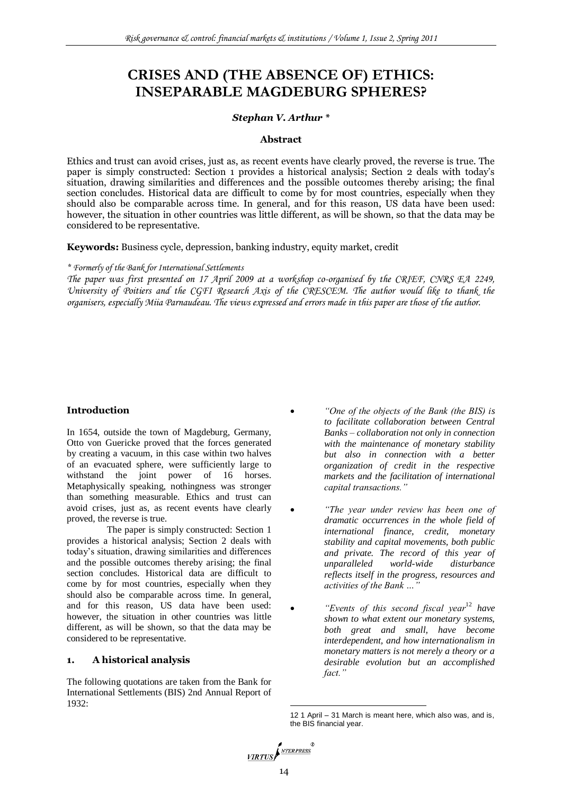# **CRISES AND (THE ABSENCE OF) ETHICS: INSEPARABLE MAGDEBURG SPHERES?**

# *Stephan V. Arthur \**

## **Abstract**

Ethics and trust can avoid crises, just as, as recent events have clearly proved, the reverse is true. The paper is simply constructed: Section 1 provides a historical analysis; Section 2 deals with today"s situation, drawing similarities and differences and the possible outcomes thereby arising; the final section concludes. Historical data are difficult to come by for most countries, especially when they should also be comparable across time. In general, and for this reason, US data have been used: however, the situation in other countries was little different, as will be shown, so that the data may be considered to be representative.

**Keywords:** Business cycle, depression, banking industry, equity market, credit

*\* Formerly of the Bank for International Settlements*

*The paper was first presented on 17 April 2009 at a workshop co-organised by the CRIEF, CNRS EA 2249, University of Poitiers and the CGFI Research Axis of the CRESCEM. The author would like to thank the organisers, especially Miia Parnaudeau. The views expressed and errors made in this paper are those of the author.*

# **Introduction**

In 1654, outside the town of Magdeburg, Germany, Otto von Guericke proved that the forces generated by creating a vacuum, in this case within two halves of an evacuated sphere, were sufficiently large to withstand the joint power of 16 horses. Metaphysically speaking, nothingness was stronger than something measurable. Ethics and trust can avoid crises, just as, as recent events have clearly proved, the reverse is true.

The paper is simply constructed: Section 1 provides a historical analysis; Section 2 deals with today's situation, drawing similarities and differences and the possible outcomes thereby arising; the final section concludes. Historical data are difficult to come by for most countries, especially when they should also be comparable across time. In general, and for this reason, US data have been used: however, the situation in other countries was little different, as will be shown, so that the data may be considered to be representative.

# **1. A historical analysis**

The following quotations are taken from the Bank for International Settlements (BIS) 2nd Annual Report of 1932:

- *"One of the objects of the Bank (the BIS) is to facilitate collaboration between Central Banks – collaboration not only in connection with the maintenance of monetary stability but also in connection with a better organization of credit in the respective markets and the facilitation of international capital transactions."*
- *"The year under review has been one of dramatic occurrences in the whole field of international finance, credit, monetary stability and capital movements, both public and private. The record of this year of unparalleled world-wide disturbance reflects itself in the progress, resources and activities of the Bank …"*
- *"Events of this second fiscal year*<sup>12</sup> *have shown to what extent our monetary systems, both great and small, have become interdependent, and how internationalism in monetary matters is not merely a theory or a desirable evolution but an accomplished fact."*

<sup>1</sup> 12 1 April – 31 March is meant here, which also was, and is, the BIS financial year.

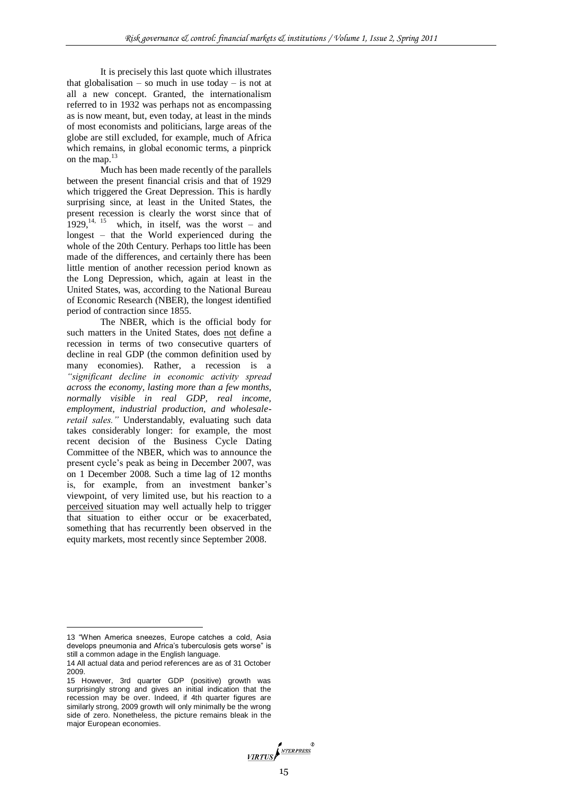It is precisely this last quote which illustrates that globalisation – so much in use today – is not at all a new concept. Granted, the internationalism referred to in 1932 was perhaps not as encompassing as is now meant, but, even today, at least in the minds of most economists and politicians, large areas of the globe are still excluded, for example, much of Africa which remains, in global economic terms, a pinprick on the map.<sup>13</sup>

Much has been made recently of the parallels between the present financial crisis and that of 1929 which triggered the Great Depression. This is hardly surprising since, at least in the United States, the present recession is clearly the worst since that of  $1929$ ,<sup>14, 15</sup> which, in itself, was the worst – and longest – that the World experienced during the whole of the 20th Century. Perhaps too little has been made of the differences, and certainly there has been little mention of another recession period known as the Long Depression, which, again at least in the United States, was, according to the National Bureau of Economic Research (NBER), the longest identified period of contraction since 1855.

The NBER, which is the official body for such matters in the United States, does not define a recession in terms of two consecutive quarters of decline in real GDP (the common definition used by many economies). Rather, a recession is a *"significant decline in economic activity spread across the economy, lasting more than a few months, normally visible in real GDP, real income, employment, industrial production, and wholesaleretail sales."* Understandably, evaluating such data takes considerably longer: for example, the most recent decision of the Business Cycle Dating Committee of the NBER, which was to announce the present cycle's peak as being in December 2007, was on 1 December 2008. Such a time lag of 12 months is, for example, from an investment banker's viewpoint, of very limited use, but his reaction to a perceived situation may well actually help to trigger that situation to either occur or be exacerbated, something that has recurrently been observed in the equity markets, most recently since September 2008.

-

<sup>13</sup> "When America sneezes, Europe catches a cold, Asia develops pneumonia and Africa's tuberculosis gets worse" is still a common adage in the English language.

<sup>14</sup> All actual data and period references are as of 31 October 2009.

<sup>15</sup> However, 3rd quarter GDP (positive) growth was surprisingly strong and gives an initial indication that the recession may be over. Indeed, if 4th quarter figures are similarly strong, 2009 growth will only minimally be the wrong side of zero. Nonetheless, the picture remains bleak in the major European economies.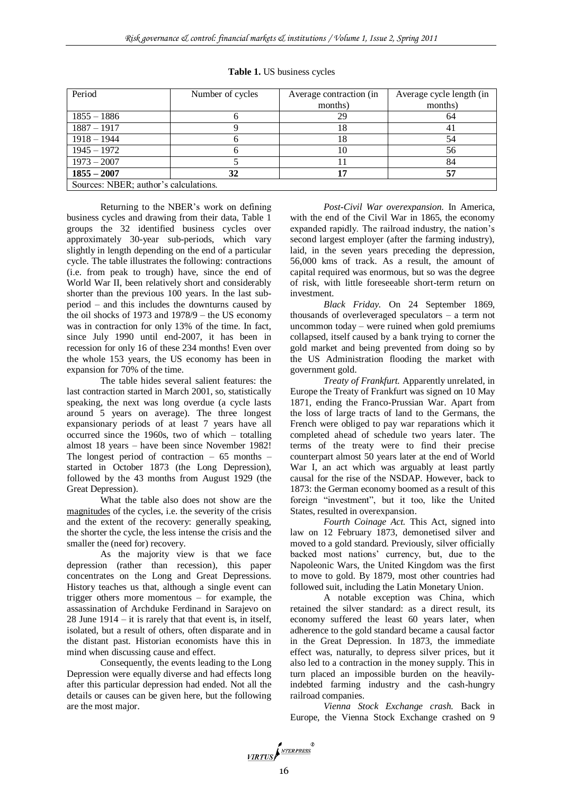| Period                                | Number of cycles | Average contraction (in | Average cycle length (in |
|---------------------------------------|------------------|-------------------------|--------------------------|
|                                       |                  | months)                 | months)                  |
| $1855 - 1886$                         |                  | 29                      | 64                       |
| $1887 - 1917$                         |                  | 18                      |                          |
| $1918 - 1944$                         |                  | 18                      |                          |
| $1945 - 1972$                         |                  | 10                      | 56                       |
| $1973 - 2007$                         |                  |                         | 84                       |
| $1855 - 2007$                         | 32               |                         |                          |
| Sources: NBER; author's calculations. |                  |                         |                          |

**Table 1.** US business cycles

Returning to the NBER's work on defining business cycles and drawing from their data, Table 1 groups the 32 identified business cycles over approximately 30-year sub-periods, which vary slightly in length depending on the end of a particular cycle. The table illustrates the following: contractions (i.e. from peak to trough) have, since the end of World War II, been relatively short and considerably shorter than the previous 100 years. In the last subperiod – and this includes the downturns caused by the oil shocks of 1973 and 1978/9 – the US economy was in contraction for only 13% of the time. In fact, since July 1990 until end-2007, it has been in recession for only 16 of these 234 months! Even over the whole 153 years, the US economy has been in expansion for 70% of the time.

The table hides several salient features: the last contraction started in March 2001, so, statistically speaking, the next was long overdue (a cycle lasts around 5 years on average). The three longest expansionary periods of at least 7 years have all occurred since the 1960s, two of which – totalling almost 18 years – have been since November 1982! The longest period of contraction – 65 months – started in October 1873 (the Long Depression), followed by the 43 months from August 1929 (the Great Depression).

What the table also does not show are the magnitudes of the cycles, i.e. the severity of the crisis and the extent of the recovery: generally speaking, the shorter the cycle, the less intense the crisis and the smaller the (need for) recovery.

As the majority view is that we face depression (rather than recession), this paper concentrates on the Long and Great Depressions. History teaches us that, although a single event can trigger others more momentous – for example, the assassination of Archduke Ferdinand in Sarajevo on 28 June  $1914 - it$  is rarely that that event is, in itself, isolated, but a result of others, often disparate and in the distant past. Historian economists have this in mind when discussing cause and effect.

Consequently, the events leading to the Long Depression were equally diverse and had effects long after this particular depression had ended. Not all the details or causes can be given here, but the following are the most major.

*Post-Civil War overexpansion.* In America, with the end of the Civil War in 1865, the economy expanded rapidly. The railroad industry, the nation's second largest employer (after the farming industry), laid, in the seven years preceding the depression, 56,000 kms of track. As a result, the amount of capital required was enormous, but so was the degree of risk, with little foreseeable short-term return on investment.

*Black Friday.* On 24 September 1869, thousands of overleveraged speculators – a term not uncommon today – were ruined when gold premiums collapsed, itself caused by a bank trying to corner the gold market and being prevented from doing so by the US Administration flooding the market with government gold.

*Treaty of Frankfurt.* Apparently unrelated, in Europe the Treaty of Frankfurt was signed on 10 May 1871, ending the Franco-Prussian War. Apart from the loss of large tracts of land to the Germans, the French were obliged to pay war reparations which it completed ahead of schedule two years later. The terms of the treaty were to find their precise counterpart almost 50 years later at the end of World War I, an act which was arguably at least partly causal for the rise of the NSDAP. However, back to 1873: the German economy boomed as a result of this foreign "investment", but it too, like the United States, resulted in overexpansion.

*Fourth Coinage Act.* This Act, signed into law on 12 February 1873, demonetised silver and moved to a gold standard. Previously, silver officially backed most nations' currency, but, due to the Napoleonic Wars, the United Kingdom was the first to move to gold. By 1879, most other countries had followed suit, including the Latin Monetary Union.

A notable exception was China, which retained the silver standard: as a direct result, its economy suffered the least 60 years later, when adherence to the gold standard became a causal factor in the Great Depression. In 1873, the immediate effect was, naturally, to depress silver prices, but it also led to a contraction in the money supply. This in turn placed an impossible burden on the heavilyindebted farming industry and the cash-hungry railroad companies.

*Vienna Stock Exchange crash.* Back in Europe, the Vienna Stock Exchange crashed on 9

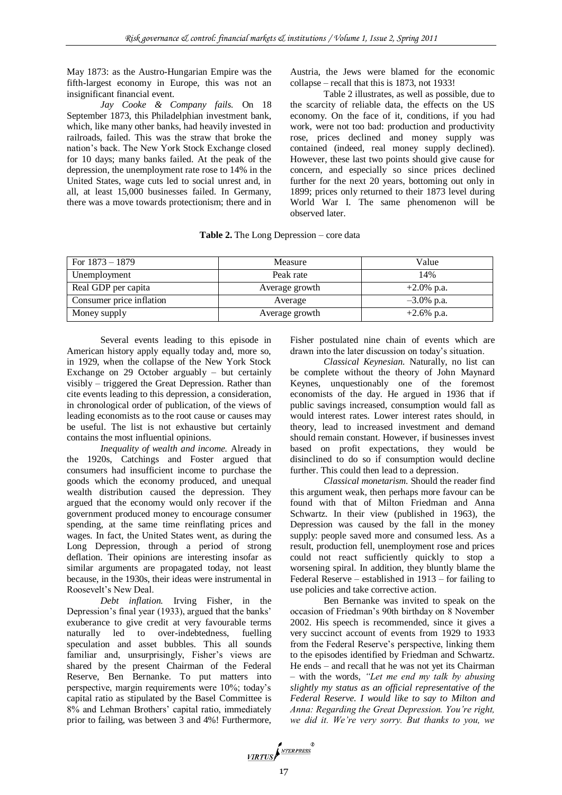May 1873: as the Austro-Hungarian Empire was the fifth-largest economy in Europe, this was not an insignificant financial event.

*Jay Cooke & Company fails.* On 18 September 1873, this Philadelphian investment bank, which, like many other banks, had heavily invested in railroads, failed. This was the straw that broke the nation's back. The New York Stock Exchange closed for 10 days; many banks failed. At the peak of the depression, the unemployment rate rose to 14% in the United States, wage cuts led to social unrest and, in all, at least 15,000 businesses failed. In Germany, there was a move towards protectionism; there and in

Austria, the Jews were blamed for the economic collapse – recall that this is 1873, not 1933!

Table 2 illustrates, as well as possible, due to the scarcity of reliable data, the effects on the US economy. On the face of it, conditions, if you had work, were not too bad: production and productivity rose, prices declined and money supply was contained (indeed, real money supply declined). However, these last two points should give cause for concern, and especially so since prices declined further for the next 20 years, bottoming out only in 1899; prices only returned to their 1873 level during World War I. The same phenomenon will be observed later.

|  |  | Table 2. The Long Depression – core data |  |
|--|--|------------------------------------------|--|
|--|--|------------------------------------------|--|

| For $1873 - 1879$        | Measure        | Value         |
|--------------------------|----------------|---------------|
| Unemployment             | Peak rate      | 14%           |
| Real GDP per capita      | Average growth | $+2.0\%$ p.a. |
| Consumer price inflation | Average        | $-3.0\%$ p.a. |
| Money supply             | Average growth | $+2.6\%$ p.a. |

Several events leading to this episode in American history apply equally today and, more so, in 1929, when the collapse of the New York Stock Exchange on 29 October arguably – but certainly visibly – triggered the Great Depression. Rather than cite events leading to this depression, a consideration, in chronological order of publication, of the views of leading economists as to the root cause or causes may be useful. The list is not exhaustive but certainly contains the most influential opinions.

*Inequality of wealth and income.* Already in the 1920s, Catchings and Foster argued that consumers had insufficient income to purchase the goods which the economy produced, and unequal wealth distribution caused the depression. They argued that the economy would only recover if the government produced money to encourage consumer spending, at the same time reinflating prices and wages. In fact, the United States went, as during the Long Depression, through a period of strong deflation. Their opinions are interesting insofar as similar arguments are propagated today, not least because, in the 1930s, their ideas were instrumental in Roosevelt's New Deal.

*Debt inflation.* Irving Fisher, in the Depression's final year (1933), argued that the banks' exuberance to give credit at very favourable terms naturally led to over-indebtedness, fuelling speculation and asset bubbles. This all sounds familiar and, unsurprisingly, Fisher's views are shared by the present Chairman of the Federal Reserve, Ben Bernanke. To put matters into perspective, margin requirements were 10%; today's capital ratio as stipulated by the Basel Committee is 8% and Lehman Brothers' capital ratio, immediately prior to failing, was between 3 and 4%! Furthermore, Fisher postulated nine chain of events which are drawn into the later discussion on today's situation.

*Classical Keynesian.* Naturally, no list can be complete without the theory of John Maynard Keynes, unquestionably one of the foremost economists of the day. He argued in 1936 that if public savings increased, consumption would fall as would interest rates. Lower interest rates should, in theory, lead to increased investment and demand should remain constant. However, if businesses invest based on profit expectations, they would be disinclined to do so if consumption would decline further. This could then lead to a depression.

*Classical monetarism.* Should the reader find this argument weak, then perhaps more favour can be found with that of Milton Friedman and Anna Schwartz. In their view (published in 1963), the Depression was caused by the fall in the money supply: people saved more and consumed less. As a result, production fell, unemployment rose and prices could not react sufficiently quickly to stop a worsening spiral. In addition, they bluntly blame the Federal Reserve – established in 1913 – for failing to use policies and take corrective action.

Ben Bernanke was invited to speak on the occasion of Friedman's 90th birthday on 8 November 2002. His speech is recommended, since it gives a very succinct account of events from 1929 to 1933 from the Federal Reserve's perspective, linking them to the episodes identified by Friedman and Schwartz. He ends – and recall that he was not yet its Chairman – with the words, *"Let me end my talk by abusing slightly my status as an official representative of the Federal Reserve. I would like to say to Milton and Anna: Regarding the Great Depression. You're right, we did it. We're very sorry. But thanks to you, we* 

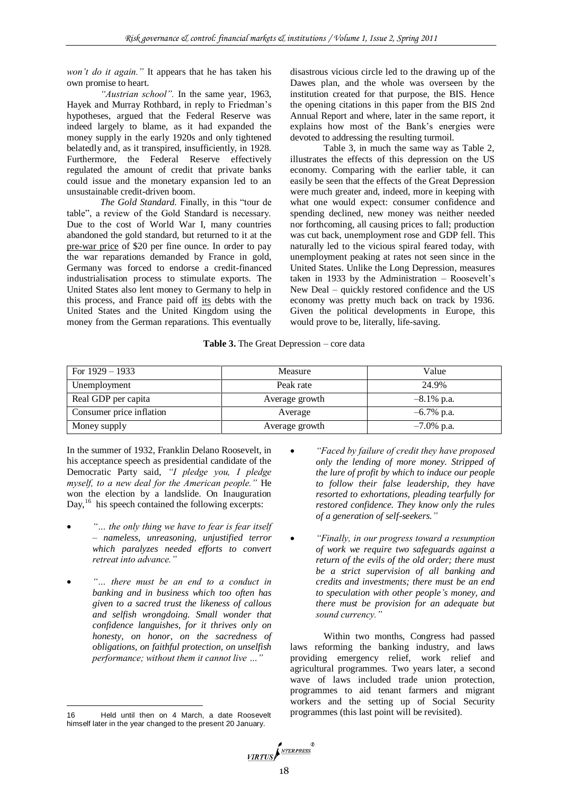*won't do it again."* It appears that he has taken his own promise to heart.

*"Austrian school".* In the same year, 1963, Hayek and Murray Rothbard, in reply to Friedman's hypotheses, argued that the Federal Reserve was indeed largely to blame, as it had expanded the money supply in the early 1920s and only tightened belatedly and, as it transpired, insufficiently, in 1928. Furthermore, the Federal Reserve effectively regulated the amount of credit that private banks could issue and the monetary expansion led to an unsustainable credit-driven boom.

*The Gold Standard.* Finally, in this "tour de table", a review of the Gold Standard is necessary. Due to the cost of World War I, many countries abandoned the gold standard, but returned to it at the pre-war price of \$20 per fine ounce. In order to pay the war reparations demanded by France in gold, Germany was forced to endorse a credit-financed industrialisation process to stimulate exports. The United States also lent money to Germany to help in this process, and France paid off its debts with the United States and the United Kingdom using the money from the German reparations. This eventually

disastrous vicious circle led to the drawing up of the Dawes plan, and the whole was overseen by the institution created for that purpose, the BIS. Hence the opening citations in this paper from the BIS 2nd Annual Report and where, later in the same report, it explains how most of the Bank's energies were devoted to addressing the resulting turmoil.

Table 3, in much the same way as Table 2, illustrates the effects of this depression on the US economy. Comparing with the earlier table, it can easily be seen that the effects of the Great Depression were much greater and, indeed, more in keeping with what one would expect: consumer confidence and spending declined, new money was neither needed nor forthcoming, all causing prices to fall; production was cut back, unemployment rose and GDP fell. This naturally led to the vicious spiral feared today, with unemployment peaking at rates not seen since in the United States. Unlike the Long Depression, measures taken in 1933 by the Administration – Roosevelt's New Deal – quickly restored confidence and the US economy was pretty much back on track by 1936. Given the political developments in Europe, this would prove to be, literally, life-saving.

## **Table 3.** The Great Depression – core data

| For $1929 - 1933$        | Measure        | Value         |
|--------------------------|----------------|---------------|
| Unemployment             | Peak rate      | 24.9%         |
| Real GDP per capita      | Average growth | $-8.1\%$ p.a. |
| Consumer price inflation | Average        | $-6.7\%$ p.a. |
| Money supply             | Average growth | $-7.0\%$ p.a. |

In the summer of 1932, Franklin Delano Roosevelt, in his acceptance speech as presidential candidate of the Democratic Party said, *"I pledge you, I pledge myself, to a new deal for the American people."* He won the election by a landslide. On Inauguration Day,<sup>16</sup> his speech contained the following excerpts:

- *"… the only thing we have to fear is fear itself – nameless, unreasoning, unjustified terror which paralyzes needed efforts to convert retreat into advance."*
- *"… there must be an end to a conduct in banking and in business which too often has given to a sacred trust the likeness of callous and selfish wrongdoing. Small wonder that confidence languishes, for it thrives only on honesty, on honor, on the sacredness of obligations, on faithful protection, on unselfish performance; without them it cannot live …"*

1

- *"Faced by failure of credit they have proposed only the lending of more money. Stripped of the lure of profit by which to induce our people to follow their false leadership, they have resorted to exhortations, pleading tearfully for restored confidence. They know only the rules of a generation of self-seekers."*
- *"Finally, in our progress toward a resumption of work we require two safeguards against a return of the evils of the old order; there must be a strict supervision of all banking and credits and investments; there must be an end to speculation with other people's money, and there must be provision for an adequate but sound currency."*

Within two months, Congress had passed laws reforming the banking industry, and laws providing emergency relief, work relief and agricultural programmes. Two years later, a second wave of laws included trade union protection, programmes to aid tenant farmers and migrant workers and the setting up of Social Security programmes (this last point will be revisited).



<sup>16</sup> Held until then on 4 March, a date Roosevelt himself later in the year changed to the present 20 January.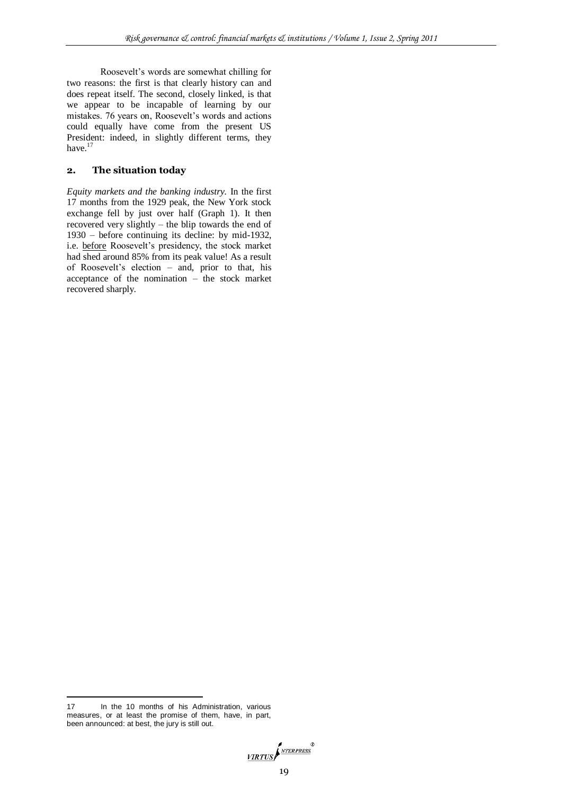Roosevelt's words are somewhat chilling for two reasons: the first is that clearly history can and does repeat itself. The second, closely linked, is that we appear to be incapable of learning by our mistakes. 76 years on, Roosevelt's words and actions could equally have come from the present US President: indeed, in slightly different terms, they have.<sup>17</sup>

# **2. The situation today**

*Equity markets and the banking industry.* In the first 17 months from the 1929 peak, the New York stock exchange fell by just over half (Graph 1). It then recovered very slightly – the blip towards the end of 1930 – before continuing its decline: by mid-1932, i.e. before Roosevelt's presidency, the stock market had shed around 85% from its peak value! As a result of Roosevelt's election – and, prior to that, his acceptance of the nomination – the stock market recovered sharply.

1

VIRTUS

<sup>17</sup> In the 10 months of his Administration, various measures, or at least the promise of them, have, in part, been announced: at best, the jury is still out.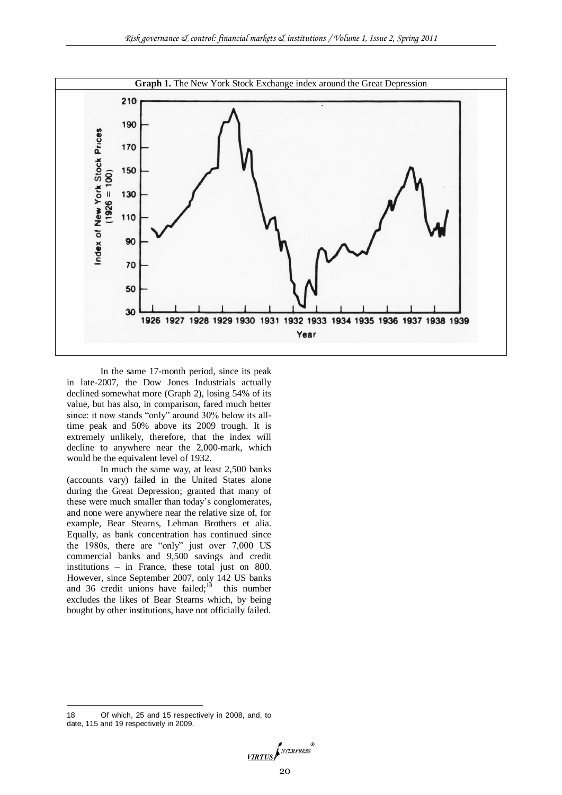

In the same 17-month period, since its peak in late-2007, the Dow Jones Industrials actually declined somewhat more (Graph 2), losing 54% of its value, but has also, in comparison, fared much better since: it now stands "only" around 30% below its alltime peak and 50% above its 2009 trough. It is extremely unlikely, therefore, that the index will decline to anywhere near the 2,000-mark, which would be the equivalent level of 1932.

In much the same way, at least 2,500 banks (accounts vary) failed in the United States alone during the Great Depression; granted that many of these were much smaller than today's conglomerates, and none were anywhere near the relative size of, for example, Bear Stearns, Lehman Brothers et alia. Equally, as bank concentration has continued since the 1980s, there are "only" just over 7,000 US commercial banks and 9,500 savings and credit institutions – in France, these total just on 800. However, since September 2007, only 142 US banks and 36 credit unions have failed; $18$  this number excludes the likes of Bear Stearns which, by being bought by other institutions, have not officially failed.

1

<sup>18</sup> Of which, 25 and 15 respectively in 2008, and, to date, 115 and 19 respectively in 2009.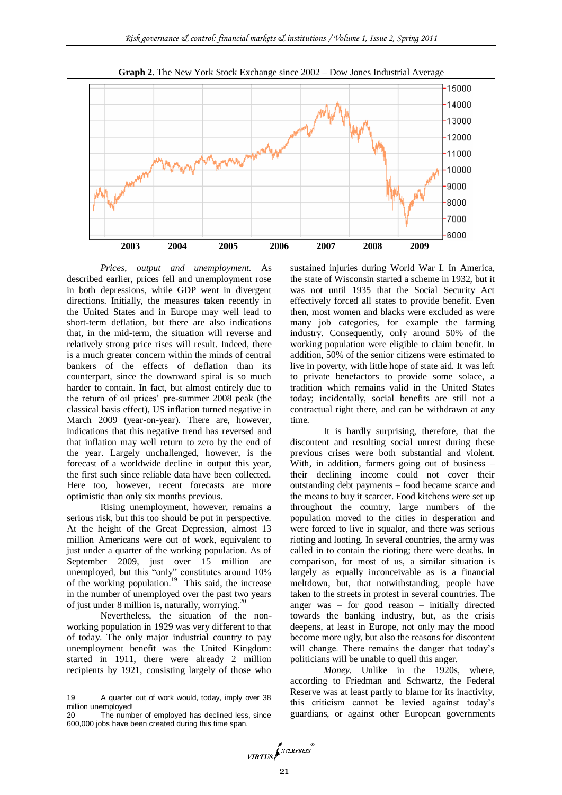

*Prices, output and unemployment.* As described earlier, prices fell and unemployment rose in both depressions, while GDP went in divergent directions. Initially, the measures taken recently in the United States and in Europe may well lead to short-term deflation, but there are also indications that, in the mid-term, the situation will reverse and relatively strong price rises will result. Indeed, there is a much greater concern within the minds of central bankers of the effects of deflation than its counterpart, since the downward spiral is so much harder to contain. In fact, but almost entirely due to the return of oil prices' pre-summer 2008 peak (the classical basis effect), US inflation turned negative in March 2009 (year-on-year). There are, however, indications that this negative trend has reversed and that inflation may well return to zero by the end of the year. Largely unchallenged, however, is the forecast of a worldwide decline in output this year, the first such since reliable data have been collected. Here too, however, recent forecasts are more optimistic than only six months previous.

Rising unemployment, however, remains a serious risk, but this too should be put in perspective. At the height of the Great Depression, almost 13 million Americans were out of work, equivalent to just under a quarter of the working population. As of September 2009, just over 15 million are unemployed, but this "only" constitutes around 10% of the working population.<sup>19</sup> This said, the increase in the number of unemployed over the past two years of just under 8 million is, naturally, worrying. $^{20}$ 

Nevertheless, the situation of the nonworking population in 1929 was very different to that of today. The only major industrial country to pay unemployment benefit was the United Kingdom: started in 1911, there were already 2 million recipients by 1921, consisting largely of those who

1

sustained injuries during World War I. In America, the state of Wisconsin started a scheme in 1932, but it was not until 1935 that the Social Security Act effectively forced all states to provide benefit. Even then, most women and blacks were excluded as were many job categories, for example the farming industry. Consequently, only around 50% of the working population were eligible to claim benefit. In addition, 50% of the senior citizens were estimated to live in poverty, with little hope of state aid. It was left to private benefactors to provide some solace, a tradition which remains valid in the United States today; incidentally, social benefits are still not a contractual right there, and can be withdrawn at any time.

It is hardly surprising, therefore, that the discontent and resulting social unrest during these previous crises were both substantial and violent. With, in addition, farmers going out of business – their declining income could not cover their outstanding debt payments – food became scarce and the means to buy it scarcer. Food kitchens were set up throughout the country, large numbers of the population moved to the cities in desperation and were forced to live in squalor, and there was serious rioting and looting. In several countries, the army was called in to contain the rioting; there were deaths. In comparison, for most of us, a similar situation is largely as equally inconceivable as is a financial meltdown, but, that notwithstanding, people have taken to the streets in protest in several countries. The anger was – for good reason – initially directed towards the banking industry, but, as the crisis deepens, at least in Europe, not only may the mood become more ugly, but also the reasons for discontent will change. There remains the danger that today's politicians will be unable to quell this anger.

*Money*. Unlike in the 1920s, where, according to Friedman and Schwartz, the Federal Reserve was at least partly to blame for its inactivity, this criticism cannot be levied against today's guardians, or against other European governments

<sup>19</sup> A quarter out of work would, today, imply over 38 million unemployed!

<sup>20</sup> The number of employed has declined less, since 600,000 jobs have been created during this time span.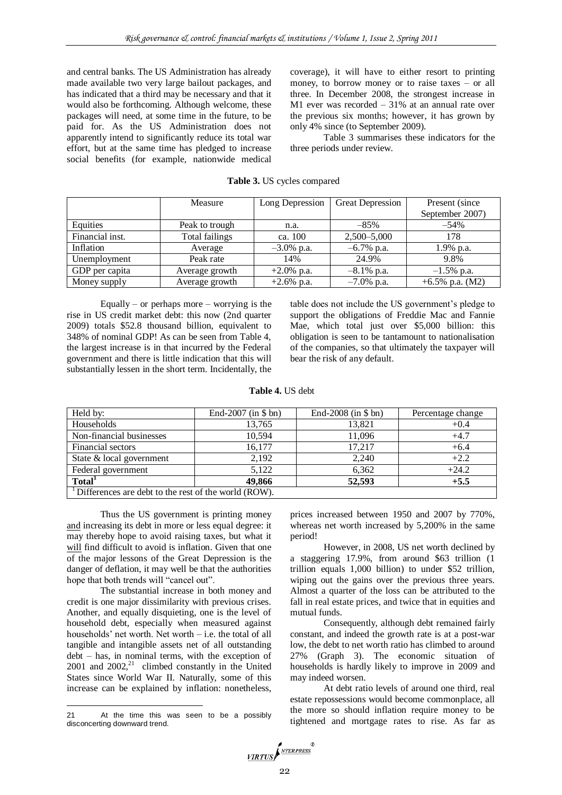and central banks. The US Administration has already made available two very large bailout packages, and has indicated that a third may be necessary and that it would also be forthcoming. Although welcome, these packages will need, at some time in the future, to be paid for. As the US Administration does not apparently intend to significantly reduce its total war effort, but at the same time has pledged to increase social benefits (for example, nationwide medical coverage), it will have to either resort to printing money, to borrow money or to raise taxes – or all three. In December 2008, the strongest increase in M1 ever was recorded – 31% at an annual rate over the previous six months; however, it has grown by only 4% since (to September 2009).

Table 3 summarises these indicators for the three periods under review.

|                 | Measure        | Long Depression | <b>Great Depression</b> | Present (since    |
|-----------------|----------------|-----------------|-------------------------|-------------------|
|                 |                |                 |                         | September 2007)   |
| Equities        | Peak to trough | n.a.            | $-85%$                  | $-54%$            |
| Financial inst. | Total failings | ca. 100         | $2,500 - 5,000$         | 178               |
| Inflation       | Average        | $-3.0\%$ p.a.   | $-6.7\%$ p.a.           | 1.9% p.a.         |
| Unemployment    | Peak rate      | 14%             | 24.9%                   | 9.8%              |
| GDP per capita  | Average growth | $+2.0\%$ p.a.   | $-8.1\%$ p.a.           | $-1.5\%$ p.a.     |
| Money supply    | Average growth | $+2.6\%$ p.a.   | $-7.0\%$ p.a.           | +6.5% p.a. $(M2)$ |

## **Table 3.** US cycles compared

Equally – or perhaps more – worrying is the rise in US credit market debt: this now (2nd quarter 2009) totals \$52.8 thousand billion, equivalent to 348% of nominal GDP! As can be seen from Table 4, the largest increase is in that incurred by the Federal government and there is little indication that this will substantially lessen in the short term. Incidentally, the

table does not include the US government's pledge to support the obligations of Freddie Mac and Fannie Mae, which total just over \$5,000 billion: this obligation is seen to be tantamount to nationalisation of the companies, so that ultimately the taxpayer will bear the risk of any default.

#### **Table 4.** US debt

| Held by:                                                          | End-2007 (in $$bn)$ ) | End-2008 (in $$bn)$ ) | Percentage change |  |
|-------------------------------------------------------------------|-----------------------|-----------------------|-------------------|--|
| Households                                                        | 13.765                | 13.821                | $+0.4$            |  |
| Non-financial businesses                                          | 10.594                | 11.096                | $+4.7$            |  |
| Financial sectors                                                 | 16.177                | 17.217                | $+6.4$            |  |
| State & local government                                          | 2,192                 | 2.240                 | $+2.2$            |  |
| Federal government                                                | 5.122                 | 6.362                 | $+24.2$           |  |
| Total <sup>1</sup>                                                | 49,866                | 52,593                | $+5.5$            |  |
| <sup>1</sup> Differences are debt to the rest of the world (ROW). |                       |                       |                   |  |

Thus the US government is printing money and increasing its debt in more or less equal degree: it may thereby hope to avoid raising taxes, but what it will find difficult to avoid is inflation. Given that one of the major lessons of the Great Depression is the danger of deflation, it may well be that the authorities hope that both trends will "cancel out".

The substantial increase in both money and credit is one major dissimilarity with previous crises. Another, and equally disquieting, one is the level of household debt, especially when measured against households' net worth. Net worth – i.e. the total of all tangible and intangible assets net of all outstanding debt – has, in nominal terms, with the exception of  $2001$  and  $2002<sup>21</sup>$  climbed constantly in the United States since World War II. Naturally, some of this increase can be explained by inflation: nonetheless,

1

prices increased between 1950 and 2007 by 770%, whereas net worth increased by 5,200% in the same period!

However, in 2008, US net worth declined by a staggering 17.9%, from around \$63 trillion (1 trillion equals 1,000 billion) to under \$52 trillion, wiping out the gains over the previous three years. Almost a quarter of the loss can be attributed to the fall in real estate prices, and twice that in equities and mutual funds.

Consequently, although debt remained fairly constant, and indeed the growth rate is at a post-war low, the debt to net worth ratio has climbed to around 27% (Graph 3). The economic situation of households is hardly likely to improve in 2009 and may indeed worsen.

At debt ratio levels of around one third, real estate repossessions would become commonplace, all the more so should inflation require money to be tightened and mortgage rates to rise. As far as



<sup>21</sup> At the time this was seen to be a possibly disconcerting downward trend.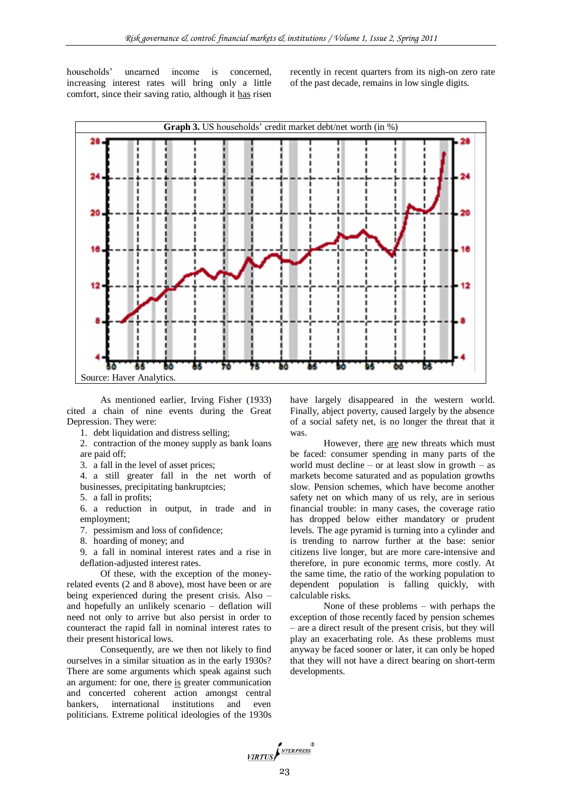households' unearned income is concerned, increasing interest rates will bring only a little comfort, since their saving ratio, although it has risen

recently in recent quarters from its nigh-on zero rate of the past decade, remains in low single digits.



As mentioned earlier, Irving Fisher (1933) cited a chain of nine events during the Great Depression. They were:

1. debt liquidation and distress selling;

2. contraction of the money supply as bank loans are paid off;

3. a fall in the level of asset prices;

4. a still greater fall in the net worth of businesses, precipitating bankruptcies;

5. a fall in profits;

6. a reduction in output, in trade and in employment;

- 7. pessimism and loss of confidence;
- 8. hoarding of money; and

9. a fall in nominal interest rates and a rise in deflation-adjusted interest rates.

Of these, with the exception of the moneyrelated events (2 and 8 above), most have been or are being experienced during the present crisis. Also – and hopefully an unlikely scenario – deflation will need not only to arrive but also persist in order to counteract the rapid fall in nominal interest rates to their present historical lows.

Consequently, are we then not likely to find ourselves in a similar situation as in the early 1930s? There are some arguments which speak against such an argument: for one, there is greater communication and concerted coherent action amongst central bankers, international institutions and even politicians. Extreme political ideologies of the 1930s

have largely disappeared in the western world. Finally, abject poverty, caused largely by the absence of a social safety net, is no longer the threat that it was.

However, there are new threats which must be faced: consumer spending in many parts of the world must decline – or at least slow in growth – as markets become saturated and as population growths slow. Pension schemes, which have become another safety net on which many of us rely, are in serious financial trouble: in many cases, the coverage ratio has dropped below either mandatory or prudent levels. The age pyramid is turning into a cylinder and is trending to narrow further at the base: senior citizens live longer, but are more care-intensive and therefore, in pure economic terms, more costly. At the same time, the ratio of the working population to dependent population is falling quickly, with calculable risks.

None of these problems – with perhaps the exception of those recently faced by pension schemes – are a direct result of the present crisis, but they will play an exacerbating role. As these problems must anyway be faced sooner or later, it can only be hoped that they will not have a direct bearing on short-term developments.